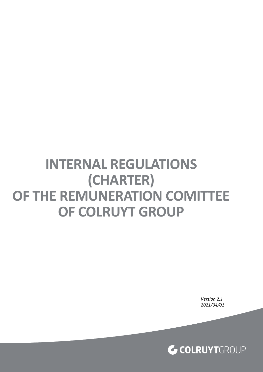# **INTERNAL REGULATIONS (CHARTER) OF THE REMUNERATION COMITTEE OF COLRUYT GROUP**

*Version 2.1 2021/04/01*

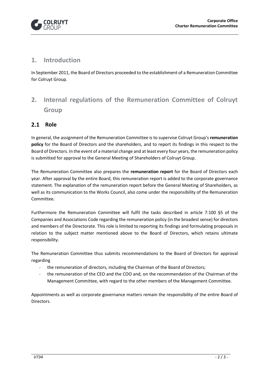

## **1. Introduction**

In September 2011, the Board of Directors proceeded to the establishment of a Remuneration Committee for Colruyt Group.

# **2. Internal regulations of the Remuneration Committee of Colruyt Group**

#### $2.1$ **Role**

In general, the assignment of the Remuneration Committee is to supervise Colruyt Group's **remuneration policy** for the Board of Directors and the shareholders, and to report its findings in this respect to the Board of Directors. In the event of a material change and at least every four years, the remuneration policy is submitted for approval to the General Meeting of Shareholders of Colruyt Group.

The Remuneration Committee also prepares the **remuneration report** for the Board of Directors each year. After approval by the entire Board, this remuneration report is added to the corporate governance statement. The explanation of the remuneration report before the General Meeting of Shareholders, as well as its communication to the Works Council, also come under the responsibility of the Remuneration Committee.

Furthermore the Remuneration Committee will fulfil the tasks described in article 7:100 §5 of the Companies and Associations Code regarding the remuneration policy (in the broadest sense) for directors and members of the Directorate. This role is limited to reporting its findings and formulating proposals in relation to the subject matter mentioned above to the Board of Directors, which retains ultimate responsibility.

The Remuneration Committee thus submits recommendations to the Board of Directors for approval regarding

- the remuneration of directors, including the Chairman of the Board of Directors;
- the remuneration of the CEO and the COO and, on the recommendation of the Chairman of the Management Committee, with regard to the other members of the Management Committee.

Appointments as well as corporate governance matters remain the responsibility of the entire Board of Directors.